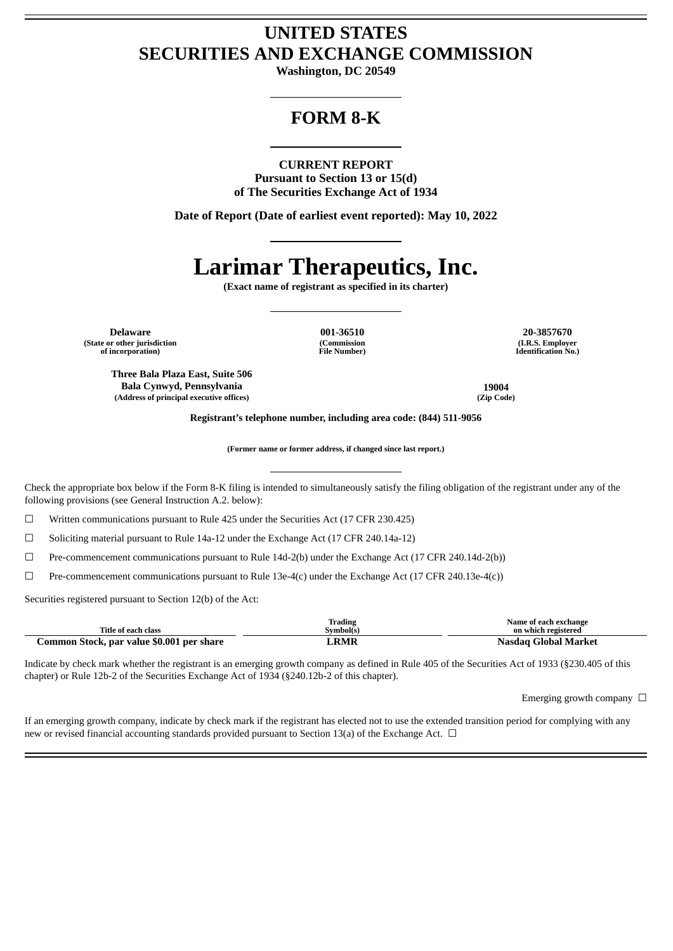## **UNITED STATES SECURITIES AND EXCHANGE COMMISSION**

**Washington, DC 20549**

## **FORM 8-K**

### **CURRENT REPORT**

**Pursuant to Section 13 or 15(d) of The Securities Exchange Act of 1934**

**Date of Report (Date of earliest event reported): May 10, 2022**

# **Larimar Therapeutics, Inc.**

**(Exact name of registrant as specified in its charter)**

**Delaware 001-36510 20-3857670 (State or other jurisdiction of incorporation)**

**Three Bala Plaza East, Suite 506 Bala Cynwyd, Pennsylvania 19004 (Address of principal executive offices) (Zip Code)**

**(Commission File Number)**

**(I.R.S. Employer Identification No.)**

**Registrant's telephone number, including area code: (844) 511-9056**

**(Former name or former address, if changed since last report.)**

Check the appropriate box below if the Form 8-K filing is intended to simultaneously satisfy the filing obligation of the registrant under any of the following provisions (see General Instruction A.2. below):

 $\Box$  Written communications pursuant to Rule 425 under the Securities Act (17 CFR 230.425)

 $\Box$  Soliciting material pursuant to Rule 14a-12 under the Exchange Act (17 CFR 240.14a-12)

☐ Pre-commencement communications pursuant to Rule 14d-2(b) under the Exchange Act (17 CFR 240.14d-2(b))

 $\Box$  Pre-commencement communications pursuant to Rule 13e-4(c) under the Exchange Act (17 CFR 240.13e-4(c))

Securities registered pursuant to Section 12(b) of the Act:

|                                           | Trading    | Name of each exchange |
|-------------------------------------------|------------|-----------------------|
| Title of each class                       | Symbol(s)  | on which registered   |
| Common Stock, par value \$0.001 per share | <b>RMR</b> | Nasdag Global Market  |

Indicate by check mark whether the registrant is an emerging growth company as defined in Rule 405 of the Securities Act of 1933 (§230.405 of this chapter) or Rule 12b-2 of the Securities Exchange Act of 1934 (§240.12b-2 of this chapter).

Emerging growth company  $\Box$ 

If an emerging growth company, indicate by check mark if the registrant has elected not to use the extended transition period for complying with any new or revised financial accounting standards provided pursuant to Section 13(a) of the Exchange Act. □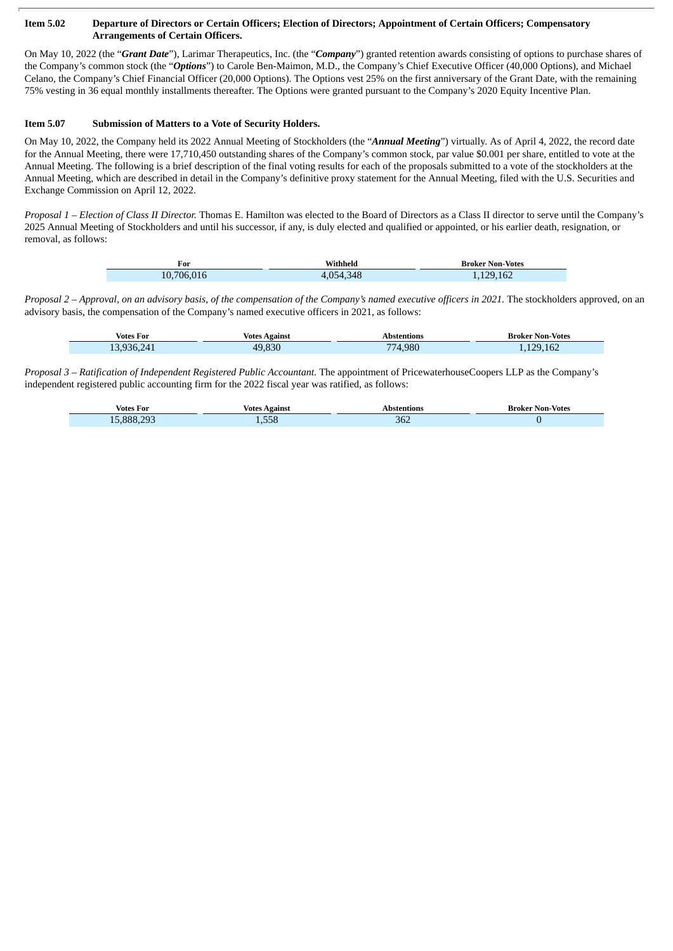#### Item 5.02 Departure of Directors or Certain Officers; Election of Directors; Appointment of Certain Officers; Compensatory **Arrangements of Certain Officers.**

On May 10, 2022 (the "*Grant Date*"), Larimar Therapeutics, Inc. (the "*Company*") granted retention awards consisting of options to purchase shares of the Company's common stock (the "*Options*") to Carole Ben-Maimon, M.D., the Company's Chief Executive Officer (40,000 Options), and Michael Celano, the Company's Chief Financial Officer (20,000 Options). The Options vest 25% on the first anniversary of the Grant Date, with the remaining 75% vesting in 36 equal monthly installments thereafter. The Options were granted pursuant to the Company's 2020 Equity Incentive Plan.

### **Item 5.07 Submission of Matters to a Vote of Security Holders.**

On May 10, 2022, the Company held its 2022 Annual Meeting of Stockholders (the "*Annual Meeting*") virtually. As of April 4, 2022, the record date for the Annual Meeting, there were 17,710,450 outstanding shares of the Company's common stock, par value \$0.001 per share, entitled to vote at the Annual Meeting. The following is a brief description of the final voting results for each of the proposals submitted to a vote of the stockholders at the Annual Meeting, which are described in detail in the Company's definitive proxy statement for the Annual Meeting, filed with the U.S. Securities and Exchange Commission on April 12, 2022.

*Proposal 1 – Election of Class II Director.* Thomas E. Hamilton was elected to the Board of Directors as a Class II director to serve until the Company's 2025 Annual Meeting of Stockholders and until his successor, if any, is duly elected and qualified or appointed, or his earlier death, resignation, or removal, as follows:

| For        | Withheld  | <b>Broker Non-Votes</b> |
|------------|-----------|-------------------------|
| 10,706,016 | 4,054,348 | 1,129,162               |

Proposal 2 - Approval, on an advisory basis, of the compensation of the Company's named executive officers in 2021. The stockholders approved, on an advisory basis, the compensation of the Company's named executive officers in 2021, as follows:

| Votes For  | Votes Against | Abstentions | <b>Broker Non-Votes</b> |
|------------|---------------|-------------|-------------------------|
| 13,936,241 | .830<br>49.   | 774.980     | 129.162                 |

*Proposal 3 – Ratification of Independent Registered Public Accountant.* The appointment of PricewaterhouseCoopers LLP as the Company's independent registered public accounting firm for the 2022 fiscal year was ratified, as follows:

| Votes<br>For                 | Votes<br>vgainst | 'ions             | Broker Non-Votes |
|------------------------------|------------------|-------------------|------------------|
| $\sim 20$<br>888<br><b>.</b> | $- - -$          | n c<br>362<br>___ |                  |